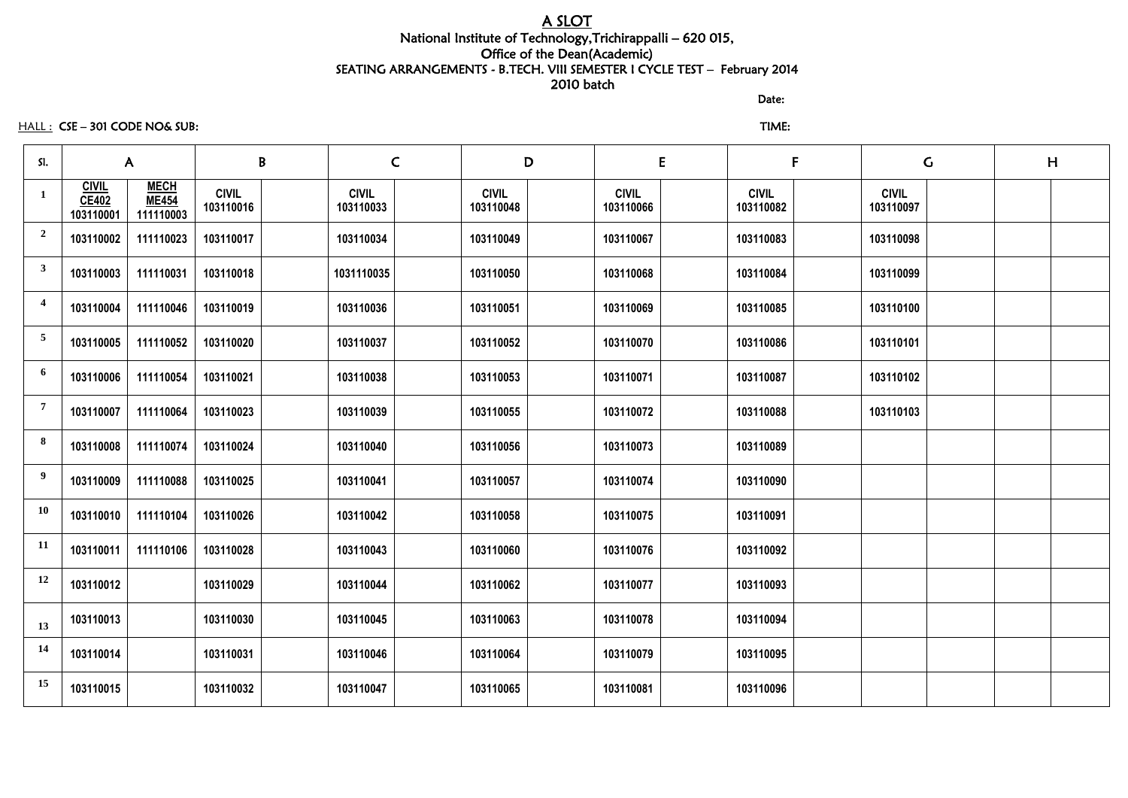# A SLOT National Institute of Technology,Trichirappalli – 620 015, Office of the Dean(Academic) SEATING ARRANGEMENTS - B.TECH. VIII SEMESTER I CYCLE TEST – February 2014 2010 batch

discussion of the contract of the contract of the Date:

HALL : CSE – 301 CODE NO& SUB: TIME:

| SI.                     |                                           | $\mathsf{A}$                             | B                         | $\mathsf{C}$              | D                         |                           | E | F                         |                           | $\mathsf C$ | H |
|-------------------------|-------------------------------------------|------------------------------------------|---------------------------|---------------------------|---------------------------|---------------------------|---|---------------------------|---------------------------|-------------|---|
| 1                       | <b>CIVIL</b><br><b>CE402</b><br>103110001 | <b>MECH</b><br><b>ME454</b><br>111110003 | <b>CIVIL</b><br>103110016 | <b>CIVIL</b><br>103110033 | <b>CIVIL</b><br>103110048 | <b>CIVIL</b><br>103110066 |   | <b>CIVIL</b><br>103110082 | <b>CIVIL</b><br>103110097 |             |   |
| $\overline{\mathbf{2}}$ | 103110002                                 | 111110023                                | 103110017                 | 103110034                 | 103110049                 | 103110067                 |   | 103110083                 | 103110098                 |             |   |
| $\overline{\mathbf{3}}$ | 103110003                                 | 111110031                                | 103110018                 | 1031110035                | 103110050                 | 103110068                 |   | 103110084                 | 103110099                 |             |   |
| $\overline{4}$          | 103110004                                 | 111110046                                | 103110019                 | 103110036                 | 103110051                 | 103110069                 |   | 103110085                 | 103110100                 |             |   |
| $\overline{5}$          | 103110005                                 | 111110052                                | 103110020                 | 103110037                 | 103110052                 | 103110070                 |   | 103110086                 | 103110101                 |             |   |
| 6                       | 103110006                                 | 111110054                                | 103110021                 | 103110038                 | 103110053                 | 103110071                 |   | 103110087                 | 103110102                 |             |   |
| $\overline{7}$          | 103110007                                 | 111110064                                | 103110023                 | 103110039                 | 103110055                 | 103110072                 |   | 103110088                 | 103110103                 |             |   |
| 8                       | 103110008                                 | 111110074                                | 103110024                 | 103110040                 | 103110056                 | 103110073                 |   | 103110089                 |                           |             |   |
| 9                       | 103110009                                 | 111110088                                | 103110025                 | 103110041                 | 103110057                 | 103110074                 |   | 103110090                 |                           |             |   |
| <b>10</b>               | 103110010                                 | 111110104                                | 103110026                 | 103110042                 | 103110058                 | 103110075                 |   | 103110091                 |                           |             |   |
| <b>11</b>               | 103110011                                 | 111110106                                | 103110028                 | 103110043                 | 103110060                 | 103110076                 |   | 103110092                 |                           |             |   |
| 12                      | 103110012                                 |                                          | 103110029                 | 103110044                 | 103110062                 | 103110077                 |   | 103110093                 |                           |             |   |
| 13                      | 103110013                                 |                                          | 103110030                 | 103110045                 | 103110063                 | 103110078                 |   | 103110094                 |                           |             |   |
| 14                      | 103110014                                 |                                          | 103110031                 | 103110046                 | 103110064                 | 103110079                 |   | 103110095                 |                           |             |   |
| 15                      | 103110015                                 |                                          | 103110032                 | 103110047                 | 103110065                 | 103110081                 |   | 103110096                 |                           |             |   |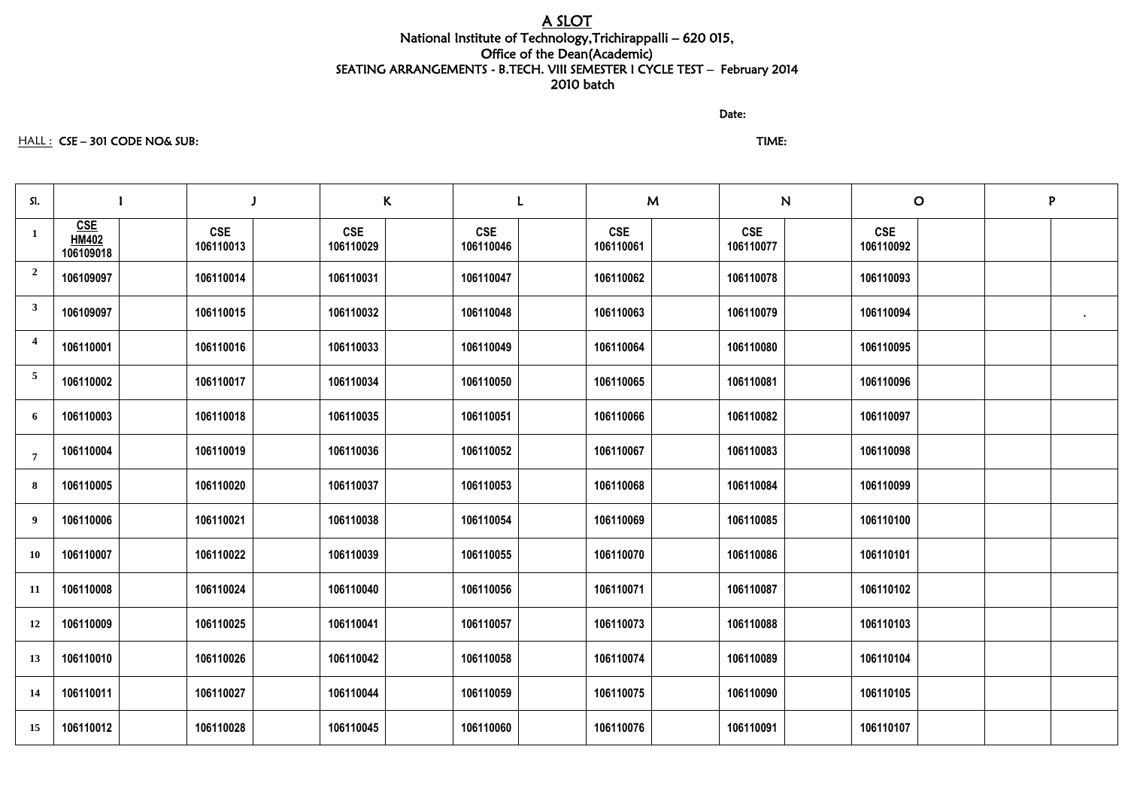# A SLOT National Institute of Technology,Trichirappalli – 620 015, Office of the Dean(Academic) SEATING ARRANGEMENTS - B.TECH. VIII SEMESTER I CYCLE TEST – February 2014 2010 batch

discussion of the contract of the contract of the Date:

## HALL : CSE – 301 CODE NO& SUB: TIME:

| SI.            |                                         |                         | $\mathsf{K}$            |                         | M                       | N                       | $\mathbf O$             | P         |
|----------------|-----------------------------------------|-------------------------|-------------------------|-------------------------|-------------------------|-------------------------|-------------------------|-----------|
| $\mathbf{1}$   | <b>CSE</b><br><b>HM402</b><br>106109018 | <b>CSE</b><br>106110013 | <b>CSE</b><br>106110029 | <b>CSE</b><br>106110046 | <b>CSE</b><br>106110061 | <b>CSE</b><br>106110077 | <b>CSE</b><br>106110092 |           |
| $\overline{2}$ | 106109097                               | 106110014               | 106110031               | 106110047               | 106110062               | 106110078               | 106110093               |           |
| $\mathbf{3}$   | 106109097                               | 106110015               | 106110032               | 106110048               | 106110063               | 106110079               | 106110094               | $\bullet$ |
| 4              | 106110001                               | 106110016               | 106110033               | 106110049               | 106110064               | 106110080               | 106110095               |           |
| 5              | 106110002                               | 106110017               | 106110034               | 106110050               | 106110065               | 106110081               | 106110096               |           |
| 6              | 106110003                               | 106110018               | 106110035               | 106110051               | 106110066               | 106110082               | 106110097               |           |
| $\overline{7}$ | 106110004                               | 106110019               | 106110036               | 106110052               | 106110067               | 106110083               | 106110098               |           |
| 8              | 106110005                               | 106110020               | 106110037               | 106110053               | 106110068               | 106110084               | 106110099               |           |
| 9              | 106110006                               | 106110021               | 106110038               | 106110054               | 106110069               | 106110085               | 106110100               |           |
| 10             | 106110007                               | 106110022               | 106110039               | 106110055               | 106110070               | 106110086               | 106110101               |           |
| <b>11</b>      | 106110008                               | 106110024               | 106110040               | 106110056               | 106110071               | 106110087               | 106110102               |           |
| 12             | 106110009                               | 106110025               | 106110041               | 106110057               | 106110073               | 106110088               | 106110103               |           |
| 13             | 106110010                               | 106110026               | 106110042               | 106110058               | 106110074               | 106110089               | 106110104               |           |
| 14             | 106110011                               | 106110027               | 106110044               | 106110059               | 106110075               | 106110090               | 106110105               |           |
| 15             | 106110012                               | 106110028               | 106110045               | 106110060               | 106110076               | 106110091               | 106110107               |           |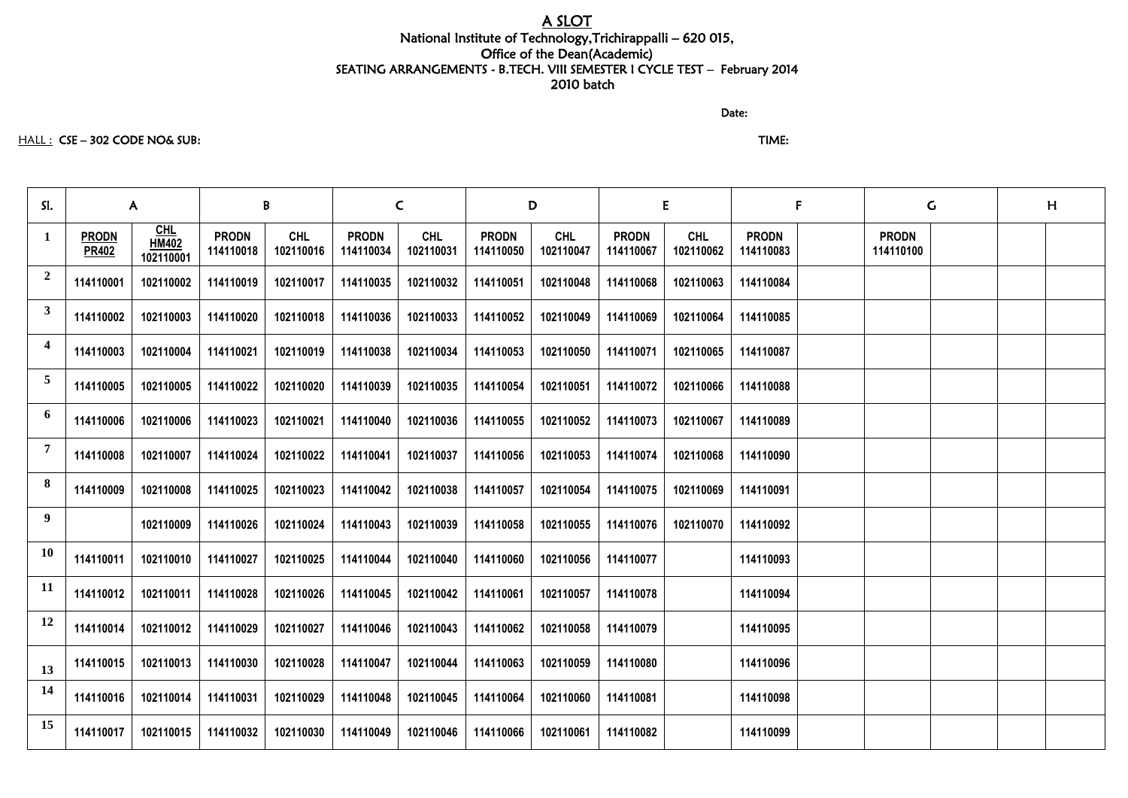# A SLOT

## National Institute of Technology,Trichirappalli – 620 015, Office of the Dean(Academic) SEATING ARRANGEMENTS - B.TECH. VIII SEMESTER I CYCLE TEST – February 2014 2010 batch

discussion of the contract of the contract of the Date:

#### HALL : CSE – 302 CODE NO& SUB: TIME:

| SI.                     | $\mathsf{A}$                 |                         | B                         |                         | $\mathsf{C}$              |                         |                           | D                       |                           | E                       |                           | F | $\mathsf{G}$              |  | H |  |
|-------------------------|------------------------------|-------------------------|---------------------------|-------------------------|---------------------------|-------------------------|---------------------------|-------------------------|---------------------------|-------------------------|---------------------------|---|---------------------------|--|---|--|
| $\mathbf{1}$            | <b>PRODN</b><br><b>PR402</b> | $CHLHM402$<br>102110001 | <b>PRODN</b><br>114110018 | <b>CHL</b><br>102110016 | <b>PRODN</b><br>114110034 | <b>CHL</b><br>102110031 | <b>PRODN</b><br>114110050 | <b>CHL</b><br>102110047 | <b>PRODN</b><br>114110067 | <b>CHL</b><br>102110062 | <b>PRODN</b><br>114110083 |   | <b>PRODN</b><br>114110100 |  |   |  |
| $\overline{2}$          | 114110001                    | 102110002               | 114110019                 | 102110017               | 114110035                 | 102110032               | 114110051                 | 102110048               | 114110068                 | 102110063               | 114110084                 |   |                           |  |   |  |
| 3 <sup>1</sup>          | 114110002                    | 102110003               | 114110020                 | 102110018               | 114110036                 | 102110033               | 114110052                 | 102110049               | 114110069                 | 102110064               | 114110085                 |   |                           |  |   |  |
| $\overline{\mathbf{4}}$ | 114110003                    | 102110004               | 114110021                 | 102110019               | 114110038                 | 102110034               | 114110053                 | 102110050               | 114110071                 | 102110065               | 114110087                 |   |                           |  |   |  |
| $\overline{5}$          | 114110005                    | 102110005               | 114110022                 | 102110020               | 114110039                 | 102110035               | 114110054                 | 102110051               | 114110072                 | 102110066               | 114110088                 |   |                           |  |   |  |
| 6                       | 114110006                    | 102110006               | 114110023                 | 102110021               | 114110040                 | 102110036               | 114110055                 | 102110052               | 114110073                 | 102110067               | 114110089                 |   |                           |  |   |  |
| $\overline{7}$          | 114110008                    | 102110007               | 114110024                 | 102110022               | 114110041                 | 102110037               | 114110056                 | 102110053               | 114110074                 | 102110068               | 114110090                 |   |                           |  |   |  |
| 8                       | 114110009                    | 102110008               | 114110025                 | 102110023               | 114110042                 | 102110038               | 114110057                 | 102110054               | 114110075                 | 102110069               | 114110091                 |   |                           |  |   |  |
| 9 <sup>1</sup>          |                              | 102110009               | 114110026                 | 102110024               | 114110043                 | 102110039               | 114110058                 | 102110055               | 114110076                 | 102110070               | 114110092                 |   |                           |  |   |  |
| <b>10</b>               | 114110011                    | 102110010               | 114110027                 | 102110025               | 114110044                 | 102110040               | 114110060                 | 102110056               | 114110077                 |                         | 114110093                 |   |                           |  |   |  |
| <b>11</b>               | 114110012                    | 102110011               | 114110028                 | 102110026               | 114110045                 |                         | 102110042   114110061     | 102110057               | 114110078                 |                         | 114110094                 |   |                           |  |   |  |
| 12                      | 114110014                    | 102110012               | 114110029                 | 102110027               | 114110046                 | 102110043               | 114110062                 | 102110058               | 114110079                 |                         | 114110095                 |   |                           |  |   |  |
| 13                      | 114110015                    | 102110013               | 114110030                 | 102110028               | 114110047                 | 102110044               | 114110063                 | 102110059               | 114110080                 |                         | 114110096                 |   |                           |  |   |  |
| <b>14</b>               | 114110016                    | 102110014               | 114110031                 | 102110029               | 114110048                 | 102110045               | 114110064                 | 102110060               | 114110081                 |                         | 114110098                 |   |                           |  |   |  |
| 15                      | 114110017                    | 102110015               | 114110032                 | 102110030               | 114110049                 | 102110046               | 114110066                 | 102110061               | 114110082                 |                         | 114110099                 |   |                           |  |   |  |